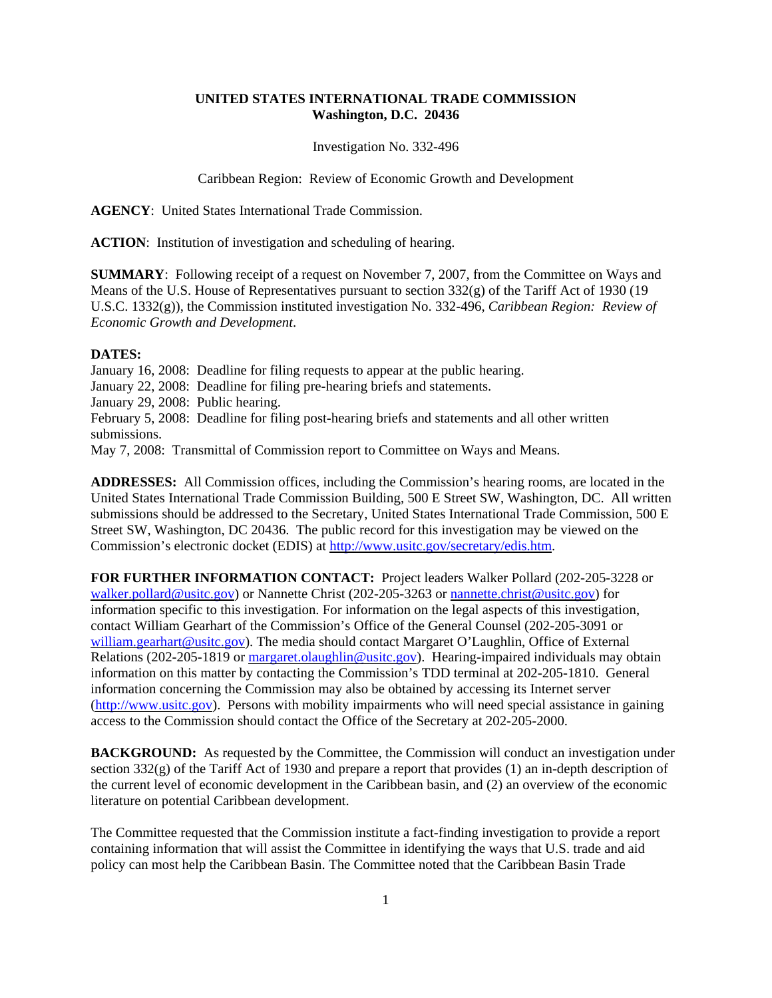## **UNITED STATES INTERNATIONAL TRADE COMMISSION Washington, D.C. 20436**

Investigation No. 332-496

Caribbean Region: Review of Economic Growth and Development

**AGENCY**: United States International Trade Commission.

**ACTION**: Institution of investigation and scheduling of hearing.

**SUMMARY**: Following receipt of a request on November 7, 2007, from the Committee on Ways and Means of the U.S. House of Representatives pursuant to section 332(g) of the Tariff Act of 1930 (19 U.S.C. 1332(g)), the Commission instituted investigation No. 332-496, *Caribbean Region: Review of Economic Growth and Development*.

## **DATES:**

January 16, 2008: Deadline for filing requests to appear at the public hearing. January 22, 2008: Deadline for filing pre-hearing briefs and statements. January 29, 2008: Public hearing. February 5, 2008: Deadline for filing post-hearing briefs and statements and all other written submissions. May 7, 2008: Transmittal of Commission report to Committee on Ways and Means.

**ADDRESSES:** All Commission offices, including the Commission's hearing rooms, are located in the United States International Trade Commission Building, 500 E Street SW, Washington, DC. All written submissions should be addressed to the Secretary, United States International Trade Commission, 500 E Street SW, Washington, DC 20436. The public record for this investigation may be viewed on the Commission's electronic docket (EDIS) at http://www.usitc.gov/secretary/edis.htm.

**FOR FURTHER INFORMATION CONTACT:** Project leaders Walker Pollard (202-205-3228 or walker.pollard@usitc.gov) or Nannette Christ (202-205-3263 or nannette.christ@usitc.gov) for information specific to this investigation. For information on the legal aspects of this investigation, contact William Gearhart of the Commission's Office of the General Counsel (202-205-3091 or william.gearhart@usitc.gov). The media should contact Margaret O'Laughlin, Office of External Relations (202-205-1819 or margaret.olaughlin@usitc.gov). Hearing-impaired individuals may obtain information on this matter by contacting the Commission's TDD terminal at 202-205-1810. General information concerning the Commission may also be obtained by accessing its Internet server (http://www.usitc.gov). Persons with mobility impairments who will need special assistance in gaining access to the Commission should contact the Office of the Secretary at 202-205-2000.

**BACKGROUND:** As requested by the Committee, the Commission will conduct an investigation under section 332(g) of the Tariff Act of 1930 and prepare a report that provides (1) an in-depth description of the current level of economic development in the Caribbean basin, and (2) an overview of the economic literature on potential Caribbean development.

The Committee requested that the Commission institute a fact-finding investigation to provide a report containing information that will assist the Committee in identifying the ways that U.S. trade and aid policy can most help the Caribbean Basin. The Committee noted that the Caribbean Basin Trade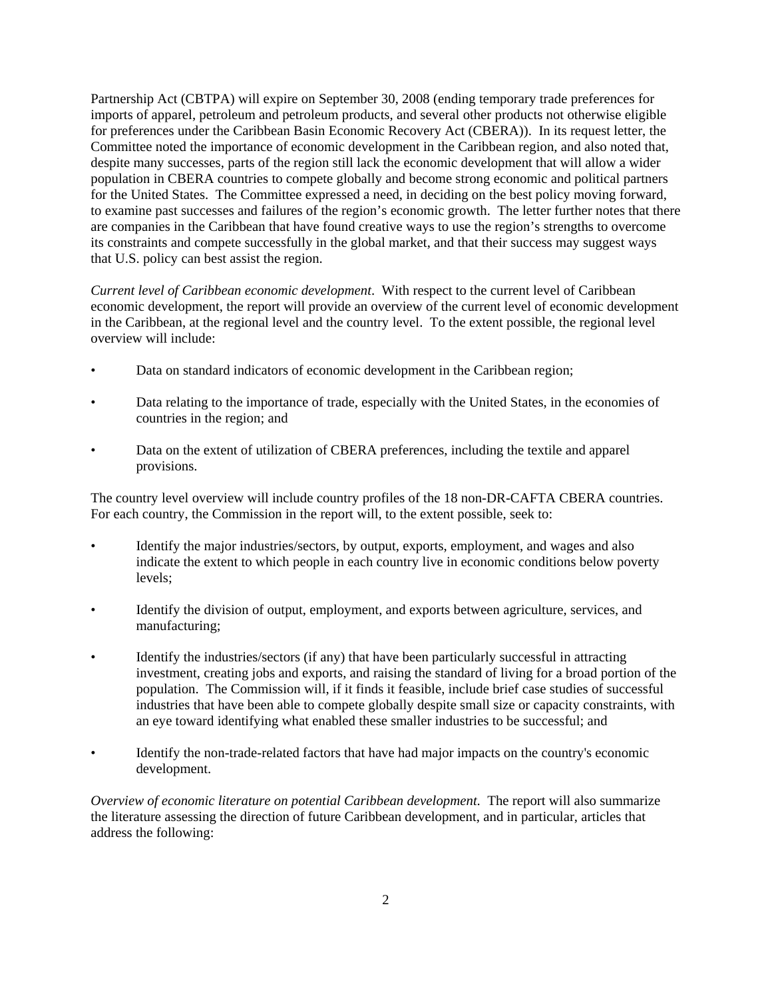Partnership Act (CBTPA) will expire on September 30, 2008 (ending temporary trade preferences for imports of apparel, petroleum and petroleum products, and several other products not otherwise eligible for preferences under the Caribbean Basin Economic Recovery Act (CBERA)). In its request letter, the Committee noted the importance of economic development in the Caribbean region, and also noted that, despite many successes, parts of the region still lack the economic development that will allow a wider population in CBERA countries to compete globally and become strong economic and political partners for the United States. The Committee expressed a need, in deciding on the best policy moving forward, to examine past successes and failures of the region's economic growth. The letter further notes that there are companies in the Caribbean that have found creative ways to use the region's strengths to overcome its constraints and compete successfully in the global market, and that their success may suggest ways that U.S. policy can best assist the region.

*Current level of Caribbean economic development*. With respect to the current level of Caribbean economic development, the report will provide an overview of the current level of economic development in the Caribbean, at the regional level and the country level. To the extent possible, the regional level overview will include:

- Data on standard indicators of economic development in the Caribbean region;
- Data relating to the importance of trade, especially with the United States, in the economies of countries in the region; and
- Data on the extent of utilization of CBERA preferences, including the textile and apparel provisions.

The country level overview will include country profiles of the 18 non-DR-CAFTA CBERA countries. For each country, the Commission in the report will, to the extent possible, seek to:

- Identify the major industries/sectors, by output, exports, employment, and wages and also indicate the extent to which people in each country live in economic conditions below poverty levels;
- Identify the division of output, employment, and exports between agriculture, services, and manufacturing;
- Identify the industries/sectors (if any) that have been particularly successful in attracting investment, creating jobs and exports, and raising the standard of living for a broad portion of the population. The Commission will, if it finds it feasible, include brief case studies of successful industries that have been able to compete globally despite small size or capacity constraints, with an eye toward identifying what enabled these smaller industries to be successful; and
- Identify the non-trade-related factors that have had major impacts on the country's economic development.

*Overview of economic literature on potential Caribbean development*. The report will also summarize the literature assessing the direction of future Caribbean development, and in particular, articles that address the following: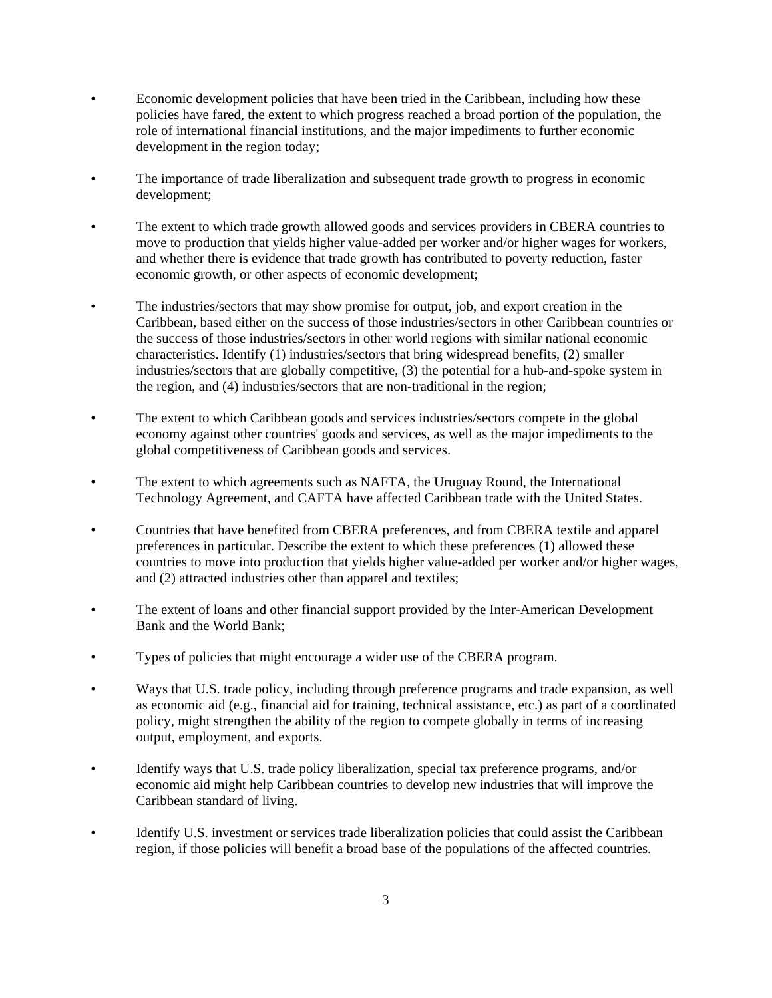- Economic development policies that have been tried in the Caribbean, including how these policies have fared, the extent to which progress reached a broad portion of the population, the role of international financial institutions, and the major impediments to further economic development in the region today;
- The importance of trade liberalization and subsequent trade growth to progress in economic development;
- The extent to which trade growth allowed goods and services providers in CBERA countries to move to production that yields higher value-added per worker and/or higher wages for workers, and whether there is evidence that trade growth has contributed to poverty reduction, faster economic growth, or other aspects of economic development;
- The industries/sectors that may show promise for output, job, and export creation in the Caribbean, based either on the success of those industries/sectors in other Caribbean countries or the success of those industries/sectors in other world regions with similar national economic characteristics. Identify (1) industries/sectors that bring widespread benefits, (2) smaller industries/sectors that are globally competitive, (3) the potential for a hub-and-spoke system in the region, and (4) industries/sectors that are non-traditional in the region;
- The extent to which Caribbean goods and services industries/sectors compete in the global economy against other countries' goods and services, as well as the major impediments to the global competitiveness of Caribbean goods and services.
- The extent to which agreements such as NAFTA, the Uruguay Round, the International Technology Agreement, and CAFTA have affected Caribbean trade with the United States.
- Countries that have benefited from CBERA preferences, and from CBERA textile and apparel preferences in particular. Describe the extent to which these preferences (1) allowed these countries to move into production that yields higher value-added per worker and/or higher wages, and (2) attracted industries other than apparel and textiles;
- The extent of loans and other financial support provided by the Inter-American Development Bank and the World Bank;
- Types of policies that might encourage a wider use of the CBERA program.
- Ways that U.S. trade policy, including through preference programs and trade expansion, as well as economic aid (e.g., financial aid for training, technical assistance, etc.) as part of a coordinated policy, might strengthen the ability of the region to compete globally in terms of increasing output, employment, and exports.
- Identify ways that U.S. trade policy liberalization, special tax preference programs, and/or economic aid might help Caribbean countries to develop new industries that will improve the Caribbean standard of living.
- Identify U.S. investment or services trade liberalization policies that could assist the Caribbean region, if those policies will benefit a broad base of the populations of the affected countries.